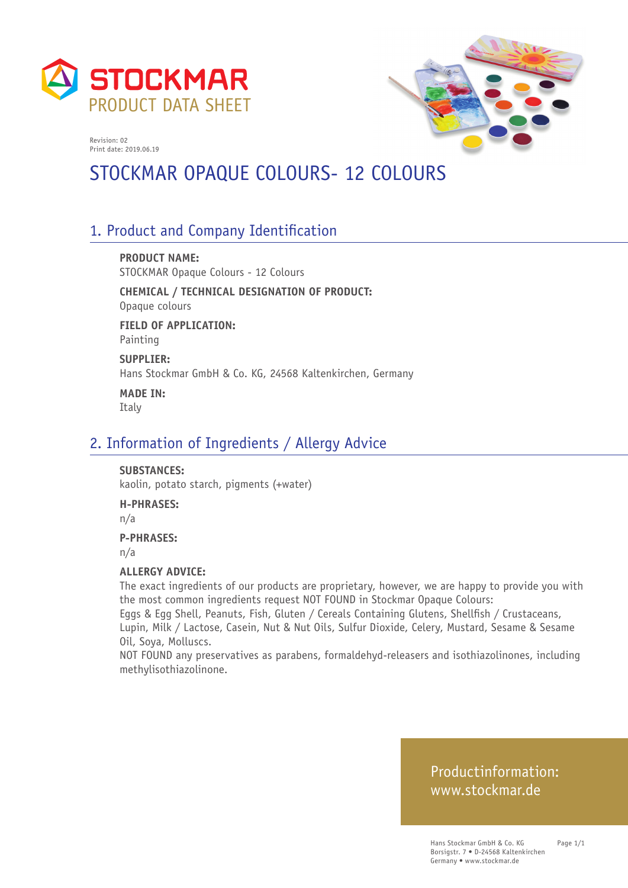



# STOCKMAR OPAQUE COLOURS- 12 COLOURS

# 1. Product and Company Identification

**PRODUCT NAME:** STOCKMAR Opaque Colours - 12 Colours

**CHEMICAL / TECHNICAL DESIGNATION OF PRODUCT:** Opaque colours

**FIELD OF APPLICATION:** Painting

**SUPPLIER:** Hans Stockmar GmbH & Co. KG, 24568 Kaltenkirchen, Germany

**MADE IN:** Italy

## 2. Information of Ingredients / Allergy Advice

#### **SUBSTANCES:**

kaolin, potato starch, pigments (+water)

#### **H-PHRASES:**

n/a

#### **P-PHRASES:**

n/a

#### **ALLERGY ADVICE:**

The exact ingredients of our products are proprietary, however, we are happy to provide you with the most common ingredients request NOT FOUND in Stockmar Opaque Colours:

Eggs & Egg Shell, Peanuts, Fish, Gluten / Cereals Containing Glutens, Shellfish / Crustaceans, Lupin, Milk / Lactose, Casein, Nut & Nut Oils, Sulfur Dioxide, Celery, Mustard, Sesame & Sesame Oil, Soya, Molluscs.

NOT FOUND any preservatives as parabens, formaldehyd-releasers and isothiazolinones, including methylisothiazolinone.

## Productinformation: www.stockmar.de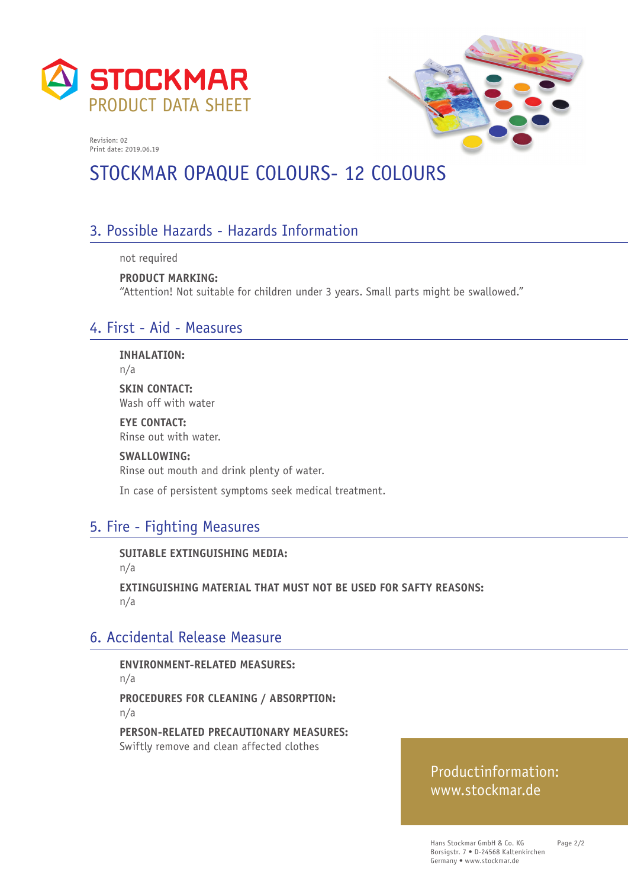



# STOCKMAR OPAQUE COLOURS- 12 COLOURS

# 3. Possible Hazards - Hazards Information

not required

**PRODUCT MARKING:**  "Attention! Not suitable for children under 3 years. Small parts might be swallowed."

# 4. First - Aid - Measures

**INHALATION:**

n/a

**SKIN CONTACT:** Wash off with water

**EYE CONTACT:** Rinse out with water.

**SWALLOWING:**

Rinse out mouth and drink plenty of water.

In case of persistent symptoms seek medical treatment.

# 5. Fire - Fighting Measures

**SUITABLE EXTINGUISHING MEDIA:** 

n/a

**EXTINGUISHING MATERIAL THAT MUST NOT BE USED FOR SAFTY REASONS:**  n/a

# 6. Accidental Release Measure

**ENVIRONMENT-RELATED MEASURES:**  n/a **PROCEDURES FOR CLEANING / ABSORPTION:**  n/a

**PERSON-RELATED PRECAUTIONARY MEASURES:**  Swiftly remove and clean affected clothes

# Productinformation: www.stockmar.de

Hans Stockmar GmbH & Co. KG Borsigstr. 7 • D-24568 Kaltenkirchen Germany • www.stockmar.de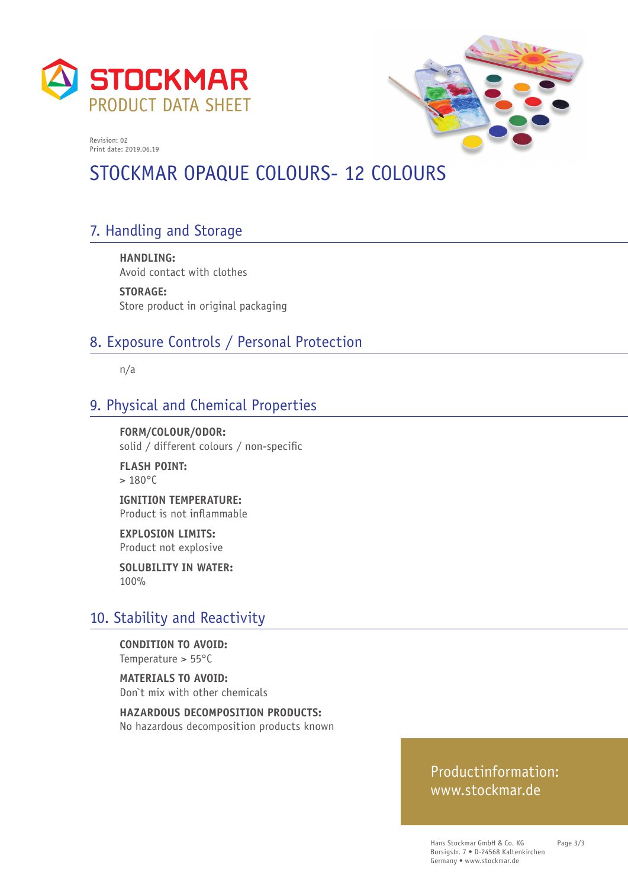



# STOCKMAR OPAQUE COLOURS- 12 COLOURS

# 7. Handling and Storage

**HANDLING:**  Avoid contact with clothes

**STORAGE:**  Store product in original packaging

# 8. Exposure Controls / Personal Protection

n/a

# 9. Physical and Chemical Properties

**FORM/COLOUR/ODOR:**  solid / different colours / non-specific

**FLASH POINT:**   $> 180^{\circ}$ C

**IGNITION TEMPERATURE:**  Product is not inflammable

**EXPLOSION LIMITS:**  Product not explosive

**SOLUBILITY IN WATER:**  100%

# 10. Stability and Reactivity

**CONDITION TO AVOID:**  Temperature > 55°C

**MATERIALS TO AVOID:**  Don`t mix with other chemicals

**HAZARDOUS DECOMPOSITION PRODUCTS:**  No hazardous decomposition products known

## Productinformation: www.stockmar.de

Hans Stockmar GmbH & Co. KG Borsigstr. 7 • D-24568 Kaltenkirchen Germany • www.stockmar.de

Page 3/3